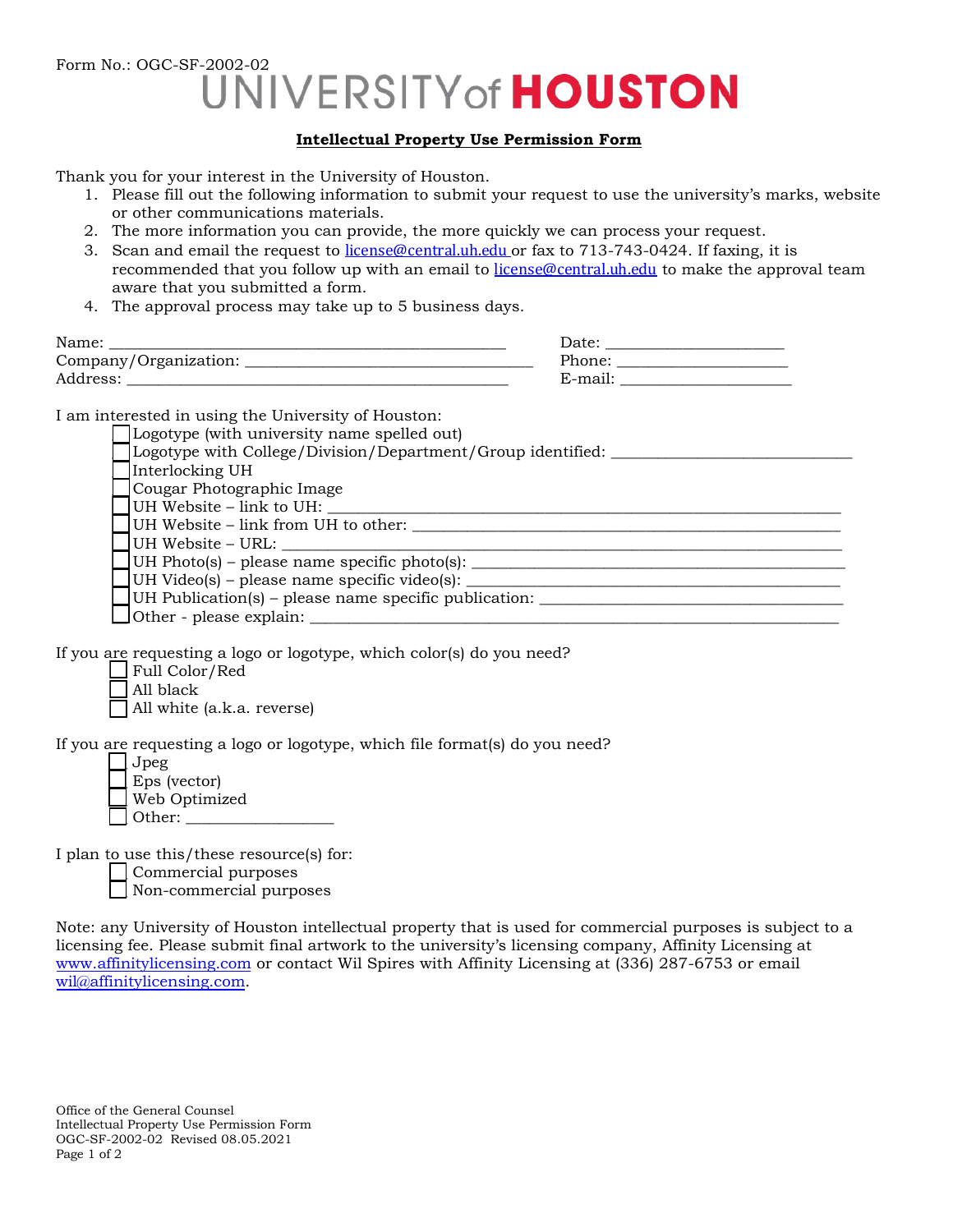Form No.: OGC-SF-2002-02<br>UNIVERSITY of **HOUSTON** 

## **Intellectual Property Use Permission Form**

Thank you for your interest in the University of Houston.

- 1. Please fill out the following information to submit your request to use the university's marks, website or other communications materials.
- 2. The more information you can provide, the more quickly we can process your request.
- 3. Scan and email the request to [license@central.uh.edu](mailto:branding@uh.edu) or fax to 713-743-0424. If faxing, it is recommended that you follow up with an email to [license@central.uh.edu](mailto:branding@uh.edu) to make the approval team aware that you submitted a form.
- 4. The approval process may take up to 5 business days.

| Name:                 | Date <sup>.</sup> |
|-----------------------|-------------------|
| Company/Organization: | Phone:            |
| Address:              | t-mail            |

I am interested in using the University of Houston:

| □ Logotype (with university name spelled out) |  |
|-----------------------------------------------|--|
|-----------------------------------------------|--|

Logotype with College/Division/Department/Group identified: \_\_\_\_\_\_\_\_\_\_\_\_\_\_\_\_\_\_\_\_ Interlocking UH Cougar Photographic Image UH Website – link to UH: UH Website – link from UH to other:  $\frac{1}{2}$  =  $\frac{1}{2}$  =  $\frac{1}{2}$  =  $\frac{1}{2}$  =  $\frac{1}{2}$  =  $\frac{1}{2}$  =  $\frac{1}{2}$  =  $\frac{1}{2}$  =  $\frac{1}{2}$  =  $\frac{1}{2}$  =  $\frac{1}{2}$  =  $\frac{1}{2}$  =  $\frac{1}{2}$  =  $\frac{1}{2}$  =  $\frac{1}{2}$  =  $\frac{1$ UH Website – URL: \_\_ UH Photo(s) – please name specific photo(s): \_\_\_\_\_\_\_\_\_\_\_\_\_\_\_\_\_\_\_\_\_\_\_\_\_\_\_\_\_\_\_\_\_\_\_\_\_\_\_\_\_\_\_\_\_\_\_\_ \_\_ UH Video(s) – please name specific video(s): \_\_\_\_\_\_\_\_\_\_\_\_\_\_\_\_\_\_\_\_\_\_\_\_\_\_\_\_\_\_\_\_\_\_\_\_\_\_\_\_\_\_\_\_\_\_\_\_ UH Publication(s) – please name specific publication:  $\Box$  Other - please explain:  $\Box$ 

If you are requesting a logo or logotype, which color(s) do you need?

| Full Color/Red             |  |
|----------------------------|--|
| All black                  |  |
| All white (a.k.a. reverse) |  |

If you are requesting a logo or logotype, which file format(s) do you need?

| Jpeg           |
|----------------|
| $Eps$ (vector) |
| Web Optimized  |
| l Other:       |

I plan to use this/these resource(s) for:

 $\Box$  Commercial purposes

 $\Box$  Non-commercial purposes

Note: any University of Houston intellectual property that is used for commercial purposes is subject to a licensing fee. Please submit final artwork to the university's licensing company, Affinity Licensing at www.affinitylicensing.com or contact Wil Spires with Affinity Licensing at (336) 287-6753 or email [wil@affinitylicensing.com](mailto:Ryan.Moss@clc.com).

Office of the General Counsel Intellectual Property Use Permission Form OGC-SF-2002-02 Revised 08.05.2021 Page 1 of 2